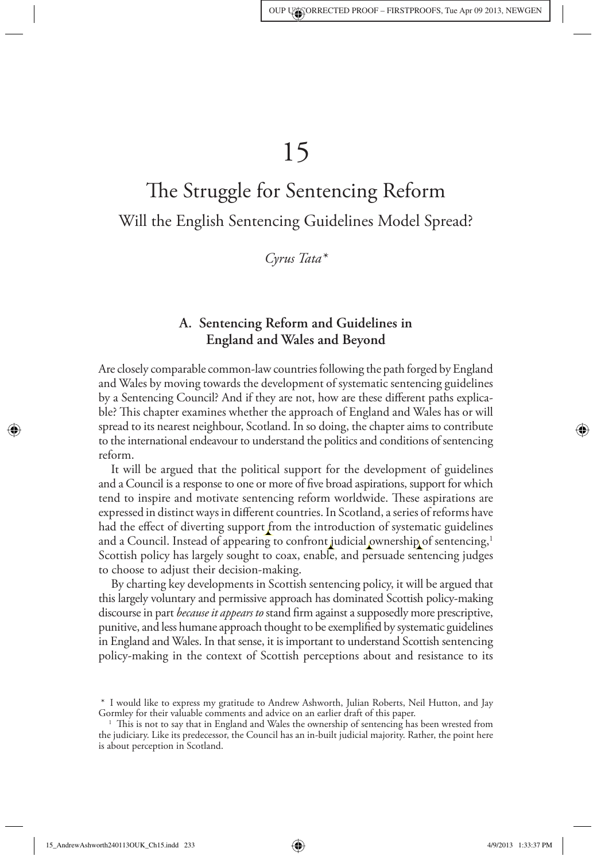# 15

# The Struggle for Sentencing Reform Will the English Sentencing Guidelines Model Spread?

 *Cyrus Tata \** 

# **A. Sentencing Reform and Guidelines in England and Wales and Beyond**

 Are closely comparable common-law countries following the path forged by England and Wales by moving towards the development of systematic sentencing guidelines by a Sentencing Council? And if they are not, how are these different paths explicable? This chapter examines whether the approach of England and Wales has or will spread to its nearest neighbour, Scotland. In so doing, the chapter aims to contribute to the international endeavour to understand the politics and conditions of sentencing reform.

 It will be argued that the political support for the development of guidelines and a Council is a response to one or more of five broad aspirations, support for which tend to inspire and motivate sentencing reform worldwide. These aspirations are expressed in distinct ways in different countries. In Scotland, a series of reforms have had the effect of diverting support from the introduction of systematic guidelines and a Council. Instead of appearing to confront judicial ownership of sentencing,<sup>1</sup> Scottish policy has largely sought to coax, enable, and persuade sentencing judges to choose to adjust their decision-making.

 By charting key developments in Scottish sentencing policy, it will be argued that this largely voluntary and permissive approach has dominated Scottish policy-making discourse in part *because it appears to* stand firm against a supposedly more prescriptive, punitive, and less humane approach thought to be exemplified by systematic guidelines in England and Wales. In that sense, it is important to understand Scottish sentencing policy-making in the context of Scottish perceptions about and resistance to its

15\_AndrewAshworth240113OUK\_Ch15.indd 233 520 5\_AndrewAshworth240113OUK\_Ch15.indd 233 520 5 and 7.9/2013 1:33:37 PM /9/2013 1:33:37 PM /9/2013 1:33:37 PM /9/2013 1:33:37 PM /9/2013 1:33:37 PM /9/2013 1:33:37 PM /9/2013 1:33

⇔

 <sup>\*</sup> I would like to express my gratitude to Andrew Ashworth, Julian Roberts, Neil Hutton, and Jay Gormley for their valuable comments and advice on an earlier draft of this paper. 1

 $1$  This is not to say that in England and Wales the ownership of sentencing has been wrested from the judiciary. Like its predecessor, the Council has an in-built judicial majority. Rather, the point here is about perception in Scotland.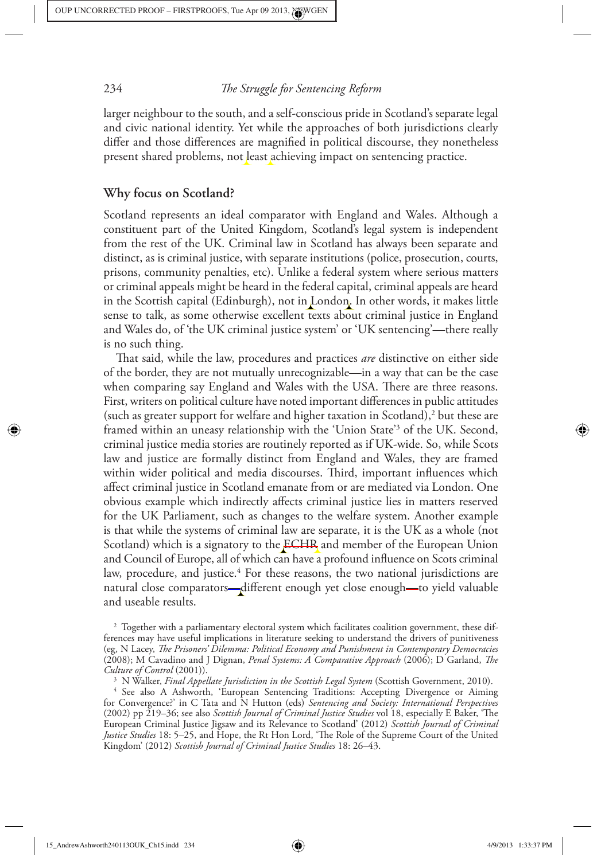larger neighbour to the south, and a self-conscious pride in Scotland's separate legal and civic national identity. Yet while the approaches of both jurisdictions clearly differ and those differences are magnified in political discourse, they nonetheless present shared problems, not least achieving impact on sentencing practice.

## **Why focus on Scotland?**

 Scotland represents an ideal comparator with England and Wales. Although a constituent part of the United Kingdom, Scotland's legal system is independent from the rest of the UK. Criminal law in Scotland has always been separate and distinct, as is criminal justice, with separate institutions (police, prosecution, courts, prisons, community penalties, etc). Unlike a federal system where serious matters or criminal appeals might be heard in the federal capital, criminal appeals are heard in the Scottish capital (Edinburgh), not in London. In other words, it makes little sense to talk, as some otherwise excellent texts about criminal justice in England and Wales do, of 'the UK criminal justice system' or 'UK sentencing'—there really is no such thing.

That said, while the law, procedures and practices *are* distinctive on either side of the border, they are not mutually unrecognizable—in a way that can be the case when comparing say England and Wales with the USA. There are three reasons. First, writers on political culture have noted important differences in public attitudes (such as greater support for welfare and higher taxation in Scotland),<sup>2</sup> but these are framed within an uneasy relationship with the 'Union State'<sup>3</sup> of the UK. Second, criminal justice media stories are routinely reported as if UK-wide. So, while Scots law and justice are formally distinct from England and Wales, they are framed within wider political and media discourses. Third, important influences which affect criminal justice in Scotland emanate from or are mediated via London. One obvious example which indirectly aff ects criminal justice lies in matters reserved for the UK Parliament, such as changes to the welfare system. Another example is that while the systems of criminal law are separate, it is the UK as a whole (not Scotland) which is a signatory to the ECHR and member of the European Union and Council of Europe, all of which can have a profound influence on Scots criminal law, procedure, and justice.<sup>4</sup> For these reasons, the two national jurisdictions are natural close comparators—different enough yet close enough—to yield valuable and useable results.

<sup>4</sup> See also A Ashworth, 'European Sentencing Traditions: Accepting Divergence or Aiming for Convergence?' in C Tata and N Hutton (eds) Sentencing and Society: International Perspectives (2002) pp 219–36; see also *Scottish Journal of Criminal Justice Studies* vol 18, especially E Baker, 'The European Criminal Justice Jigsaw and its Relevance to Scotland' (2012) *Scottish Journal of Criminal*  Justice Studies 18: 5-25, and Hope, the Rt Hon Lord, 'The Role of the Supreme Court of the United Kingdom' (2012) Scottish Journal of Criminal Justice Studies 18: 26–43.

15\_AndrewAshworth240113OUK\_Ch15.indd 234 5\_AndrewAshworth240113OUK\_Ch15.indd 234 5\_AndrewAshworth240113OUK\_Ch15.indd 4/9/2013 1:33:37 PM

<sup>&</sup>lt;sup>2</sup> Together with a parliamentary electoral system which facilitates coalition government, these differences may have useful implications in literature seeking to understand the drivers of punitiveness (eg, N Lacey, *The Prisoners' Dilemma: Political Economy and Punishment in Contemporary Democracies* (2008); M Cavadino and J Dignan, *Penal Systems: A Comparative Approach* (2006); D Garland, *The Culture of Control* (2001)).

N Walker, *Final Appellate Jurisdiction in the Scottish Legal System* (Scottish Government, 2010). 4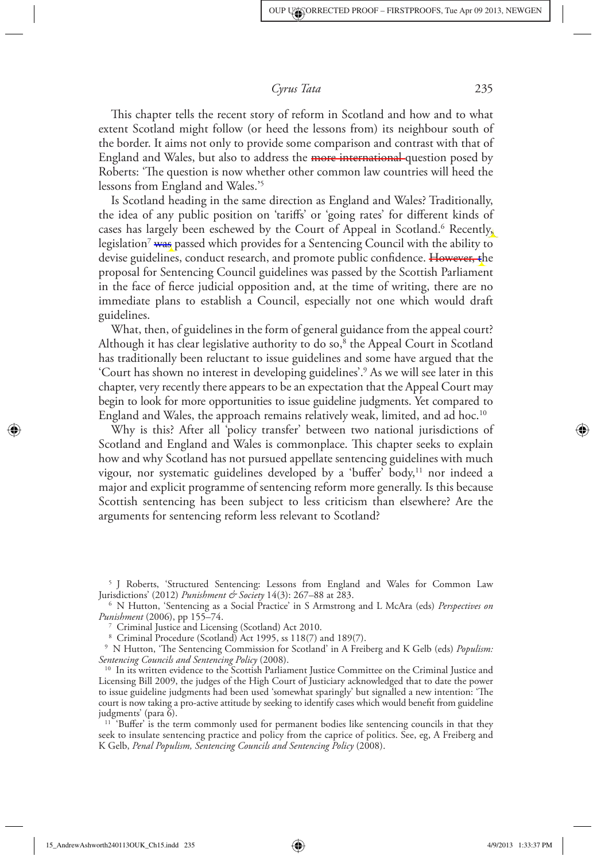This chapter tells the recent story of reform in Scotland and how and to what extent Scotland might follow (or heed the lessons from) its neighbour south of the border. It aims not only to provide some comparison and contrast with that of England and Wales, but also to address the more international question posed by Roberts: 'The question is now whether other common law countries will heed the lessons from England and Wales.<sup>'5</sup>

 Is Scotland heading in the same direction as England and Wales? Traditionally, the idea of any public position on 'tariffs' or 'going rates' for different kinds of cases has largely been eschewed by the Court of Appeal in Scotland.<sup>6</sup> Recently, legislation<sup>7</sup> was passed which provides for a Sentencing Council with the ability to devise guidelines, conduct research, and promote public confidence. However, the proposal for Sentencing Council guidelines was passed by the Scottish Parliament in the face of fierce judicial opposition and, at the time of writing, there are no immediate plans to establish a Council, especially not one which would draft guidelines.

 What, then, of guidelines in the form of general guidance from the appeal court? Although it has clear legislative authority to do so,<sup>8</sup> the Appeal Court in Scotland has traditionally been reluctant to issue guidelines and some have argued that the 'Court has shown no interest in developing guidelines'.<sup>9</sup> As we will see later in this chapter, very recently there appears to be an expectation that the Appeal Court may begin to look for more opportunities to issue guideline judgments. Yet compared to England and Wales, the approach remains relatively weak, limited, and ad hoc.<sup>10</sup>

 Why is this? After all 'policy transfer' between two national jurisdictions of Scotland and England and Wales is commonplace. This chapter seeks to explain how and why Scotland has not pursued appellate sentencing guidelines with much vigour, nor systematic guidelines developed by a 'buffer' body,<sup>11</sup> nor indeed a major and explicit programme of sentencing reform more generally. Is this because Scottish sentencing has been subject to less criticism than elsewhere? Are the arguments for sentencing reform less relevant to Scotland?

<sup>5</sup> J Roberts, 'Structured Sentencing: Lessons from England and Wales for Common Law Jurisdictions' (2012) *Punishment & Society* 14(3): 267–88 at 283.

 N Hutton, 'Sentencing as a Social Practice' in S Armstrong and L McAra (eds) *Perspectives on Punishment* (2006), pp 155-74.

Criminal Justice and Licensing (Scotland) Act 2010.

8 Criminal Procedure (Scotland) Act 1995, ss 118(7) and 189(7).

<sup>9</sup> N Hutton, 'The Sentencing Commission for Scotland' in A Freiberg and K Gelb (eds) *Populism: Sentencing Councils and Sentencing Policy* (2008). 10 In its written evidence to the Scottish Parliament Justice Committee on the Criminal Justice and

Licensing Bill 2009, the judges of the High Court of Justiciary acknowledged that to date the power to issue guideline judgments had been used 'somewhat sparingly' but signalled a new intention: 'The court is now taking a pro-active attitude by seeking to identify cases which would benefi t from guideline judgments' (para 6).

 $11$  'Buffer' is the term commonly used for permanent bodies like sentencing councils in that they seek to insulate sentencing practice and policy from the caprice of politics. See, eg, A Freiberg and K Gelb, *Penal Populism, Sentencing Councils and Sentencing Policy* (2008).

15\_AndrewAshworth240113OUK\_Ch15.indd 235 4/9/2013 1:33:37 PM /9/2013 1:33:37 PM /9/2013 1:33:37 PM /9/2013 1:33:37 PM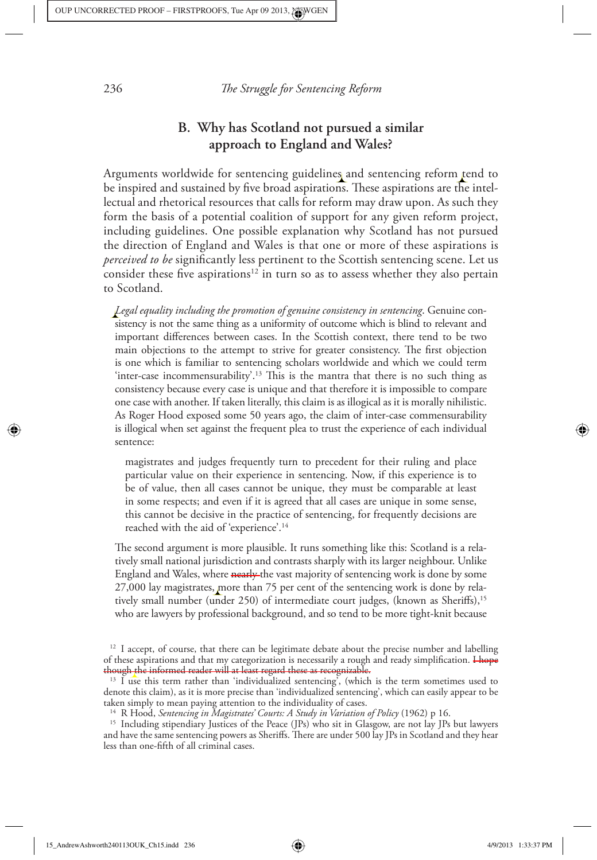# **B. Why has Scotland not pursued a similar approach to England and Wales?**

 Arguments worldwide for sentencing guidelines and sentencing reform tend to be inspired and sustained by five broad aspirations. These aspirations are the intellectual and rhetorical resources that calls for reform may draw upon. As such they form the basis of a potential coalition of support for any given reform project, including guidelines. One possible explanation why Scotland has not pursued the direction of England and Wales is that one or more of these aspirations is *perceived to be* significantly less pertinent to the Scottish sentencing scene. Let us consider these five aspirations<sup>12</sup> in turn so as to assess whether they also pertain to Scotland.

*Legal equality including the promotion of genuine consistency in sentencing* . Genuine consistency is not the same thing as a uniformity of outcome which is blind to relevant and important differences between cases. In the Scottish context, there tend to be two main objections to the attempt to strive for greater consistency. The first objection is one which is familiar to sentencing scholars worldwide and which we could term 'inter-case incommensurability'.<sup>13</sup> This is the mantra that there is no such thing as consistency because every case is unique and that therefore it is impossible to compare one case with another. If taken literally, this claim is as illogical as it is morally nihilistic. As Roger Hood exposed some 50 years ago, the claim of inter-case commensurability is illogical when set against the frequent plea to trust the experience of each individual sentence:

magistrates and judges frequently turn to precedent for their ruling and place particular value on their experience in sentencing. Now, if this experience is to be of value, then all cases cannot be unique, they must be comparable at least in some respects; and even if it is agreed that all cases are unique in some sense, this cannot be decisive in the practice of sentencing, for frequently decisions are reached with the aid of 'experience'. 14

The second argument is more plausible. It runs something like this: Scotland is a relatively small national jurisdiction and contrasts sharply with its larger neighbour. Unlike England and Wales, where nearly the vast majority of sentencing work is done by some 27,000 lay magistrates, more than 75 per cent of the sentencing work is done by relatively small number (under 250) of intermediate court judges, (known as Sheriffs),<sup>15</sup> who are lawyers by professional background, and so tend to be more tight-knit because

<sup>&</sup>lt;sup>12</sup> I accept, of course, that there can be legitimate debate about the precise number and labelling of these aspirations and that my categorization is necessarily a rough and ready simplification. Hope though the informed reader will at least regard these as recognizable.

 $13\,$  I use this term rather than 'individualized sentencing', (which is the term sometimes used to denote this claim), as it is more precise than 'individualized sentencing', which can easily appear to be taken simply to mean paying attention to the individuality of cases.

<sup>&</sup>lt;sup>14</sup> R Hood, *Sentencing in Magistrates' Courts: A Study in Variation of Policy* (1962) p 16.<br><sup>15</sup> Including stipendiary Justices of the Peace (JPs) who sit in Glasgow, are not lay JPs but lawyers and have the same sentencing powers as Sheriffs. There are under 500 lay JPs in Scotland and they hear less than one-fifth of all criminal cases.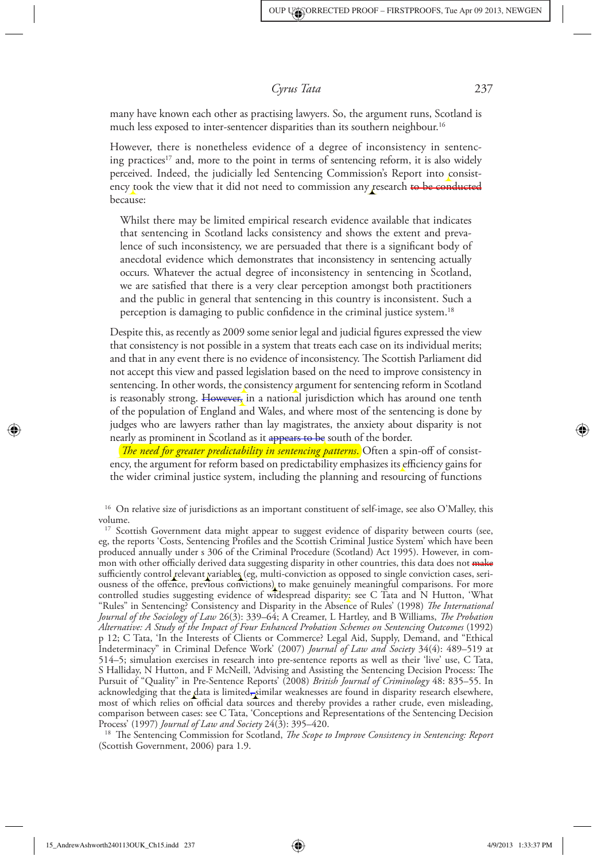many have known each other as practising lawyers. So, the argument runs, Scotland is much less exposed to inter-sentencer disparities than its southern neighbour. 16

 However, there is nonetheless evidence of a degree of inconsistency in sentencing practices<sup>17</sup> and, more to the point in terms of sentencing reform, it is also widely perceived. Indeed, the judicially led Sentencing Commission's Report into consistency took the view that it did not need to commission any research to be conducted because:

Whilst there may be limited empirical research evidence available that indicates that sentencing in Scotland lacks consistency and shows the extent and prevalence of such inconsistency, we are persuaded that there is a significant body of anecdotal evidence which demonstrates that inconsistency in sentencing actually occurs. Whatever the actual degree of inconsistency in sentencing in Scotland, we are satisfied that there is a very clear perception amongst both practitioners and the public in general that sentencing in this country is inconsistent. Such a perception is damaging to public confidence in the criminal justice system.<sup>18</sup>

Despite this, as recently as 2009 some senior legal and judicial figures expressed the view that consistency is not possible in a system that treats each case on its individual merits; and that in any event there is no evidence of inconsistency. The Scottish Parliament did not accept this view and passed legislation based on the need to improve consistency in sentencing. In other words, the consistency argument for sentencing reform in Scotland is reasonably strong. However, in a national jurisdiction which has around one tenth of the population of England and Wales, and where most of the sentencing is done by judges who are lawyers rather than lay magistrates, the anxiety about disparity is not nearly as prominent in Scotland as it appears to be south of the border.

*The need for greater predictability in sentencing patterns*. Often a spin-off of consistency, the argument for reform based on predictability emphasizes its efficiency gains for the wider criminal justice system, including the planning and resourcing of functions

(Scottish Government, 2006) para 1.9.

15\_AndrewAshworth240113OUK\_Ch15.indd 237 5\_4/9/2013 1:33:37 PM /9/2013 1:33:37 PM

<sup>&</sup>lt;sup>16</sup> On relative size of jurisdictions as an important constituent of self-image, see also O'Malley, this volume.

<sup>&</sup>lt;sup>17</sup> Scottish Government data might appear to suggest evidence of disparity between courts (see, eg, the reports 'Costs, Sentencing Profiles and the Scottish Criminal Justice System' which have been produced annually under s 306 of the Criminal Procedure (Scotland) Act 1995). However, in common with other officially derived data suggesting disparity in other countries, this data does not make sufficiently control relevant variables (eg, multi-conviction as opposed to single conviction cases, seriousness of the offence, previous convictions) to make genuinely meaningful comparisons. For more controlled studies suggesting evidence of widespread disparity: see C Tata and N Hutton, 'What "Rules" in Sentencing? Consistency and Disparity in the Absence of Rules' (1998) *The International* Journal of the Sociology of Law 26(3): 339-64; A Creamer, L Hartley, and B Williams, *The Probation Alternative: A Study of the Impact of Four Enhanced Probation Schemes on Sentencing Outcomes* (1992) p 12; C Tata, 'In the Interests of Clients or Commerce? Legal Aid, Supply, Demand, and "Ethical Indeterminacy" in Criminal Defence Work' (2007) *Journal of Law and Society* 34 (4): 489–519 at 514–5; simulation exercises in research into pre-sentence reports as well as their 'live' use, C Tata, S Halliday, N Hutton, and F McNeill, 'Advising and Assisting the Sentencing Decision Process: The Pursuit of "Quality" in Pre-Sentence Reports' (2008) *British Journal of Criminology* 48 : 835–55 . In acknowledging that the data is limited, similar weaknesses are found in disparity research elsewhere, most of which relies on official data sources and thereby provides a rather crude, even misleading, comparison between cases: see C Tata, 'Conceptions and Representations of the Sentencing Decision Process' (1997) *Journal of Law and Society* 24(3): 395–420.<br><sup>18</sup> The Sentencing Commission for Scotland, *The Scope to Improve Consistency in Sentencing: Report*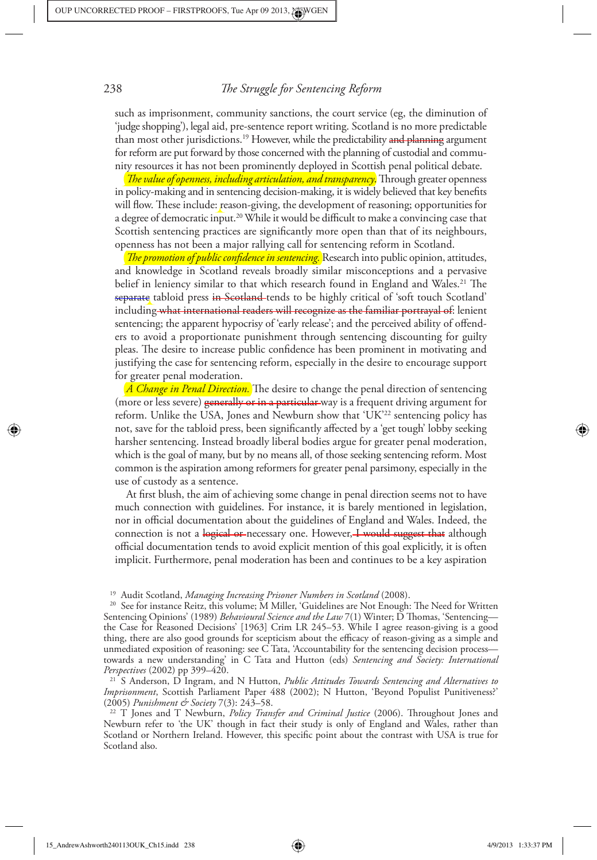such as imprisonment, community sanctions, the court service (eg, the diminution of 'judge shopping'), legal aid, pre-sentence report writing. Scotland is no more predictable than most other jurisdictions.<sup>19</sup> However, while the predictability and planning argument for reform are put forward by those concerned with the planning of custodial and community resources it has not been prominently deployed in Scottish penal political debate.

*The value of openness, including articulation, and transparency*. Through greater openness in policy-making and in sentencing decision-making, it is widely believed that key benefits will flow. These include: reason-giving, the development of reasoning; opportunities for a degree of democratic input.<sup>20</sup> While it would be difficult to make a convincing case that Scottish sentencing practices are significantly more open than that of its neighbours, openness has not been a major rallying call for sentencing reform in Scotland.

*The promotion of public confidence in sentencing*. Research into public opinion, attitudes, and knowledge in Scotland reveals broadly similar misconceptions and a pervasive belief in leniency similar to that which research found in England and Wales.<sup>21</sup> The separate tabloid press in Scotland-tends to be highly critical of 'soft touch Scotland' including what international readers will recognize as the familiar portrayal of: lenient sentencing; the apparent hypocrisy of 'early release'; and the perceived ability of offenders to avoid a proportionate punishment through sentencing discounting for guilty pleas. The desire to increase public confidence has been prominent in motivating and justifying the case for sentencing reform, especially in the desire to encourage support for greater penal moderation.

A Change in Penal Direction. The desire to change the penal direction of sentencing (more or less severe) generally or in a particular way is a frequent driving argument for reform. Unlike the USA, Jones and Newburn show that 'UK'<sup>22</sup> sentencing policy has not, save for the tabloid press, been significantly affected by a 'get tough' lobby seeking harsher sentencing. Instead broadly liberal bodies argue for greater penal moderation, which is the goal of many, but by no means all, of those seeking sentencing reform. Most common is the aspiration among reformers for greater penal parsimony, especially in the use of custody as a sentence.

At first blush, the aim of achieving some change in penal direction seems not to have much connection with guidelines. For instance, it is barely mentioned in legislation, nor in official documentation about the guidelines of England and Wales. Indeed, the connection is not a logical or necessary one. However, I would suggest that although official documentation tends to avoid explicit mention of this goal explicitly, it is often implicit. Furthermore, penal moderation has been and continues to be a key aspiration

<sup>19</sup> Audit Scotland, *Managing Increasing Prisoner Numbers in Scotland* (2008).<br><sup>20</sup> See for instance Reitz, this volume; M Miller, 'Guidelines are Not Enough: The Need for Written Sentencing Opinions' (1989) *Behavioural Science and the Law* 7(1) Winter; D Thomas, 'Sentencingthe Case for Reasoned Decisions' [1963] Crim LR 245–53 . While I agree reason-giving is a good thing, there are also good grounds for scepticism about the efficacy of reason-giving as a simple and unmediated exposition of reasoning: see C Tata, 'Accountability for the sentencing decision process towards a new understanding' in C Tata and Hutton (eds) *Sentencing and Society: International* 

<sup>21</sup> S Anderson, D Ingram, and N Hutton, *Public Attitudes Towards Sentencing and Alternatives to Imprisonment*, Scottish Parliament Paper 488 (2002); N Hutton, 'Beyond Populist Punitiveness?' (2005) *Punishment & Society* 7(3): 243–58.

<sup>22</sup> T Jones and T Newburn, *Policy Transfer and Criminal Justice* (2006). Throughout Jones and Newburn refer to 'the UK' though in fact their study is only of England and Wales, rather than Scotland or Northern Ireland. However, this specific point about the contrast with USA is true for Scotland also.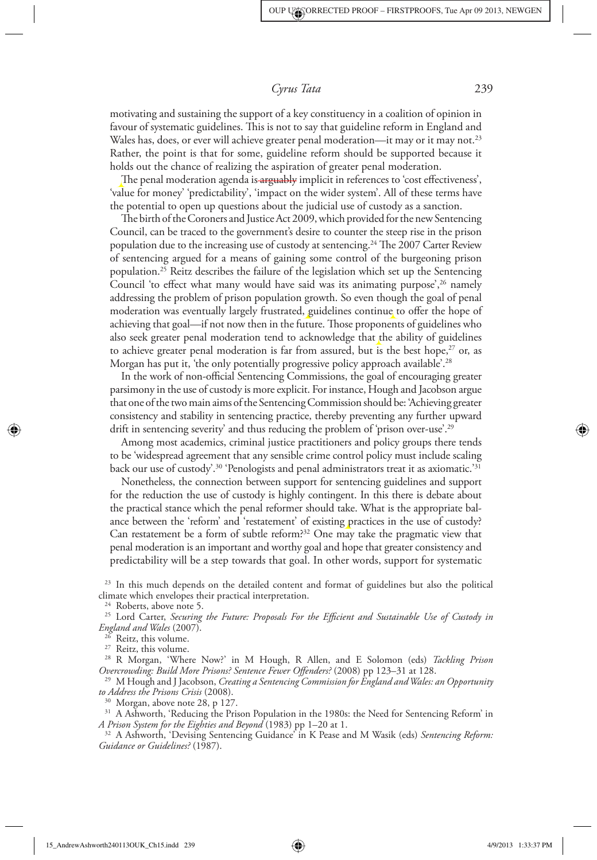motivating and sustaining the support of a key constituency in a coalition of opinion in favour of systematic guidelines. This is not to say that guideline reform in England and Wales has, does, or ever will achieve greater penal moderation—it may or it may not.<sup>23</sup> Rather, the point is that for some, guideline reform should be supported because it holds out the chance of realizing the aspiration of greater penal moderation.

The penal moderation agenda is arguably implicit in references to 'cost effectiveness', 'value for money' 'predictability', 'impact on the wider system'. All of these terms have the potential to open up questions about the judicial use of custody as a sanction.

The birth of the Coroners and Justice Act 2009, which provided for the new Sentencing Council, can be traced to the government's desire to counter the steep rise in the prison population due to the increasing use of custody at sentencing.<sup>24</sup> The 2007 Carter Review of sentencing argued for a means of gaining some control of the burgeoning prison population. 25 Reitz describes the failure of the legislation which set up the Sentencing Council 'to effect what many would have said was its animating purpose',<sup>26</sup> namely addressing the problem of prison population growth. So even though the goal of penal moderation was eventually largely frustrated, guidelines continue to offer the hope of achieving that goal—if not now then in the future. Those proponents of guidelines who also seek greater penal moderation tend to acknowledge that the ability of guidelines to achieve greater penal moderation is far from assured, but is the best hope, $27$  or, as Morgan has put it, 'the only potentially progressive policy approach available'.<sup>28</sup>

In the work of non-official Sentencing Commissions, the goal of encouraging greater parsimony in the use of custody is more explicit. For instance, Hough and Jacobson argue that one of the two main aims of the Sentencing Commission should be: 'Achieving greater consistency and stability in sentencing practice, thereby preventing any further upward drift in sentencing severity' and thus reducing the problem of 'prison over-use'.<sup>29</sup>

 Among most academics, criminal justice practitioners and policy groups there tends to be 'widespread agreement that any sensible crime control policy must include scaling back our use of custody'.<sup>30</sup> 'Penologists and penal administrators treat it as axiomatic.'<sup>31</sup>

 Nonetheless, the connection between support for sentencing guidelines and support for the reduction the use of custody is highly contingent. In this there is debate about the practical stance which the penal reformer should take. What is the appropriate balance between the 'reform' and 'restatement' of existing practices in the use of custody? Can restatement be a form of subtle reform?<sup>32</sup> One may take the pragmatic view that penal moderation is an important and worthy goal and hope that greater consistency and predictability will be a step towards that goal. In other words, support for systematic

<sup>23</sup> In this much depends on the detailed content and format of guidelines but also the political climate which envelopes their practical interpretation.

<sup>24</sup> Roberts, above note 5.

<sup>25</sup> Lord Carter, *Securing the Future: Proposals For the Efficient and Sustainable Use of Custody in England and Wales* (2007). 26 Reitz, this volume.

27 Reitz, this volume.

<sup>28</sup> R Morgan, 'Where Now?' in M Hough, R Allen, and E Solomon (eds) *Tackling Prison Overcrowding: Build More Prisons? Sentence Fewer Offenders?* (2008) pp 123–31 at 128.

<sup>29</sup> M Hough and J Jacobson, *Creating a Sentencing Commission for England and Wales: an Opportunity to Address the Prisons Crisis (2008).* 

<sup>30</sup> Morgan, above note 28, p 127.

<sup>31</sup> A Ashworth, 'Reducing the Prison Population in the 1980s: the Need for Sentencing Reform' in *A Prison System for the Eighties and Beyond* (1983) pp 1–20 at 1.

<sup>32</sup> A Ashworth, 'Devising Sentencing Guidance' in K Pease and M Wasik (eds) Sentencing Reform: *Guidance or Guidelines?* (1987).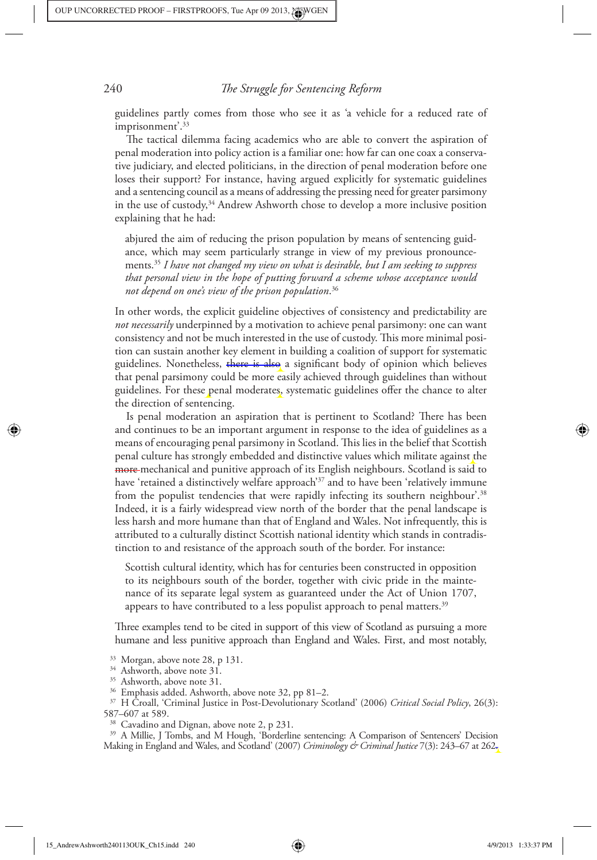guidelines partly comes from those who see it as 'a vehicle for a reduced rate of imprisonment'.<sup>33</sup>

The tactical dilemma facing academics who are able to convert the aspiration of penal moderation into policy action is a familiar one: how far can one coax a conservative judiciary, and elected politicians, in the direction of penal moderation before one loses their support? For instance, having argued explicitly for systematic guidelines and a sentencing council as a means of addressing the pressing need for greater parsimony in the use of custody, 34 Andrew Ashworth chose to develop a more inclusive position explaining that he had:

abjured the aim of reducing the prison population by means of sentencing guidance, which may seem particularly strange in view of my previous pronouncements. 35 *I have not changed my view on what is desirable, but I am seeking to suppress that personal view in the hope of putting forward a scheme whose acceptance would not depend on one's view of the prison population* . 36

 In other words, the explicit guideline objectives of consistency and predictability are *not necessarily* underpinned by a motivation to achieve penal parsimony: one can want consistency and not be much interested in the use of custody. This more minimal position can sustain another key element in building a coalition of support for systematic guidelines. Nonetheless, there is also a significant body of opinion which believes that penal parsimony could be more easily achieved through guidelines than without guidelines. For these penal moderates, systematic guidelines offer the chance to alter the direction of sentencing.

Is penal moderation an aspiration that is pertinent to Scotland? There has been and continues to be an important argument in response to the idea of guidelines as a means of encouraging penal parsimony in Scotland. This lies in the belief that Scottish penal culture has strongly embedded and distinctive values which militate against the <del>more</del> mechanical and punitive approach of its English neighbours. Scotland is said to have 'retained a distinctively welfare approach'<sup>37</sup> and to have been 'relatively immune from the populist tendencies that were rapidly infecting its southern neighbour'.<sup>38</sup> Indeed, it is a fairly widespread view north of the border that the penal landscape is less harsh and more humane than that of England and Wales. Not infrequently, this is attributed to a culturally distinct Scottish national identity which stands in contradistinction to and resistance of the approach south of the border. For instance:

Scottish cultural identity, which has for centuries been constructed in opposition to its neighbours south of the border, together with civic pride in the maintenance of its separate legal system as guaranteed under the Act of Union 1707, appears to have contributed to a less populist approach to penal matters.<sup>39</sup>

Three examples tend to be cited in support of this view of Scotland as pursuing a more humane and less punitive approach than England and Wales. First, and most notably,

<sup>37</sup> H Croall, 'Criminal Justice in Post-Devolutionary Scotland' (2006) *Critical Social Policy*, 26(3): 587–607 at 589.

38 Cavadino and Dignan, above note 2, p 231.

39 A Millie, J Tombs, and M Hough, 'Borderline sentencing: A Comparison of Sentencers' Decision Making in England and Wales, and Scotland' (2007) *Criminology & Criminal Justice* 7(3): 243–67 at 262<sup>-1</sup>

<sup>33</sup> Morgan, above note 28, p 131.

Ashworth, above note 31.

<sup>&</sup>lt;sup>35</sup> Ashworth, above note 31.

<sup>36</sup> Emphasis added. Ashworth, above note 32, pp 81–2.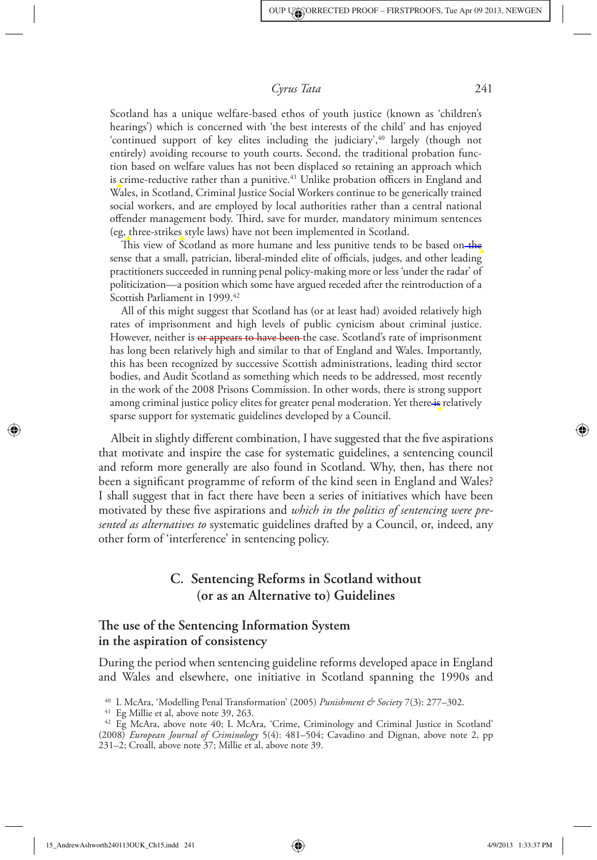Scotland has a unique welfare-based ethos of youth justice (known as 'children's hearings') which is concerned with 'the best interests of the child' and has enjoyed 'continued support of key elites including the judiciary',<sup>40</sup> largely (though not entirely) avoiding recourse to youth courts. Second, the traditional probation function based on welfare values has not been displaced so retaining an approach which is crime-reductive rather than a punitive.<sup>41</sup> Unlike probation officers in England and Wales, in Scotland, Criminal Justice Social Workers continue to be generically trained social workers, and are employed by local authorities rather than a central national offender management body. Third, save for murder, mandatory minimum sentences (eg, three-strikes style laws) have not been implemented in Scotland.

This view of Scotland as more humane and less punitive tends to be based on-the sense that a small, patrician, liberal-minded elite of officials, judges, and other leading practitioners succeeded in running penal policy-making more or less 'under the radar' of politicization—a position which some have argued receded after the reintroduction of a Scottish Parliament in 1999.<sup>42</sup>

 All of this might suggest that Scotland has (or at least had) avoided relatively high rates of imprisonment and high levels of public cynicism about criminal justice. However, neither is or appears to have been the case. Scotland's rate of imprisonment has long been relatively high and similar to that of England and Wales. Importantly, this has been recognized by successive Scottish administrations, leading third sector bodies, and Audit Scotland as something which needs to be addressed, most recently in the work of the 2008 Prisons Commission. In other words, there is strong support among criminal justice policy elites for greater penal moderation. Yet there is relatively sparse support for systematic guidelines developed by a Council.

Albeit in slightly different combination, I have suggested that the five aspirations that motivate and inspire the case for systematic guidelines, a sentencing council and reform more generally are also found in Scotland. Why, then, has there not been a significant programme of reform of the kind seen in England and Wales? I shall suggest that in fact there have been a series of initiatives which have been motivated by these five aspirations and *which in the politics of sentencing were presented as alternatives to* systematic guidelines drafted by a Council, or, indeed, any other form of 'interference' in sentencing policy.

# **C. Sentencing Reforms in Scotland without (or as an Alternative to) Guidelines**

# The use of the Sentencing Information System **in the aspiration of consistency**

 During the period when sentencing guideline reforms developed apace in England and Wales and elsewhere, one initiative in Scotland spanning the 1990s and

<sup>40</sup> L McAra, 'Modelling Penal Transformation' (2005) *Punishment & Society* 7 (3): 277–302 . 41 Eg Millie et al, above note 39, 263.

<sup>42</sup> Eg McAra, above note 40; L McAra, 'Crime, Criminology and Criminal Justice in Scotland' (2008) *European Journal of Criminology* 5 (4): 481–504 ; Cavadino and Dignan, above note 2, pp 231–2; Croall, above note 37; Millie et al, above note 39.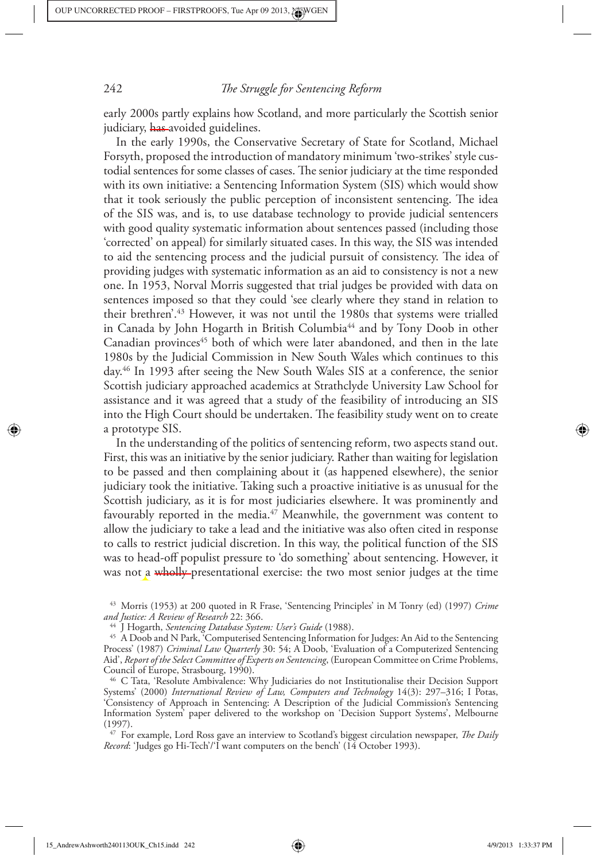early 2000s partly explains how Scotland, and more particularly the Scottish senior judiciary, has avoided guidelines.

 In the early 1990s, the Conservative Secretary of State for Scotland, Michael Forsyth, proposed the introduction of mandatory minimum 'two-strikes' style custodial sentences for some classes of cases. The senior judiciary at the time responded with its own initiative: a Sentencing Information System (SIS) which would show that it took seriously the public perception of inconsistent sentencing. The idea of the SIS was, and is, to use database technology to provide judicial sentencers with good quality systematic information about sentences passed (including those 'corrected' on appeal) for similarly situated cases. In this way, the SIS was intended to aid the sentencing process and the judicial pursuit of consistency. The idea of providing judges with systematic information as an aid to consistency is not a new one. In 1953, Norval Morris suggested that trial judges be provided with data on sentences imposed so that they could 'see clearly where they stand in relation to their brethren'.<sup>43</sup> However, it was not until the 1980s that systems were trialled in Canada by John Hogarth in British Columbia<sup>44</sup> and by Tony Doob in other Canadian provinces<sup>45</sup> both of which were later abandoned, and then in the late 1980s by the Judicial Commission in New South Wales which continues to this day. 46 In 1993 after seeing the New South Wales SIS at a conference, the senior Scottish judiciary approached academics at Strathclyde University Law School for assistance and it was agreed that a study of the feasibility of introducing an SIS into the High Court should be undertaken. The feasibility study went on to create a prototype SIS.

 In the understanding of the politics of sentencing reform, two aspects stand out. First, this was an initiative by the senior judiciary. Rather than waiting for legislation to be passed and then complaining about it (as happened elsewhere), the senior judiciary took the initiative. Taking such a proactive initiative is as unusual for the Scottish judiciary, as it is for most judiciaries elsewhere. It was prominently and favourably reported in the media. $47$  Meanwhile, the government was content to allow the judiciary to take a lead and the initiative was also often cited in response to calls to restrict judicial discretion. In this way, the political function of the SIS was to head-off populist pressure to 'do something' about sentencing. However, it was not a wholly presentational exercise: the two most senior judges at the time

<sup>47</sup> For example, Lord Ross gave an interview to Scotland's biggest circulation newspaper, *The Daily Record*: 'Judges go Hi-Tech'/'I want computers on the bench' (14 October 1993).

<sup>43</sup> Morris (1953) at 200 quoted in R Frase, 'Sentencing Principles' in M Tonry (ed) (1997) *Crime* 

<sup>&</sup>lt;sup>44</sup> J Hogarth, *Sentencing Database System: User's Guide* (1988).<br><sup>45</sup> A Doob and N Park, 'Computerised Sentencing Information for Judges: An Aid to the Sentencing Process' (1987) *Criminal Law Quarterly* 30: 54; A Doob, 'Evaluation of a Computerized Sentencing Aid', *Report of the Select Committee of Experts on Sentencing* , (European Committee on Crime Problems, Council of Europe, Strasbourg, 1990).

<sup>46</sup> C Tata, 'Resolute Ambivalence: Why Judiciaries do not Institutionalise their Decision Support Systems' (2000) International Review of Law, Computers and Technology 14(3): 297-316; I Potas, 'Consistency of Approach in Sentencing: A Description of the Judicial Commission's Sentencing Information System' paper delivered to the workshop on 'Decision Support Systems', Melbourne (1997).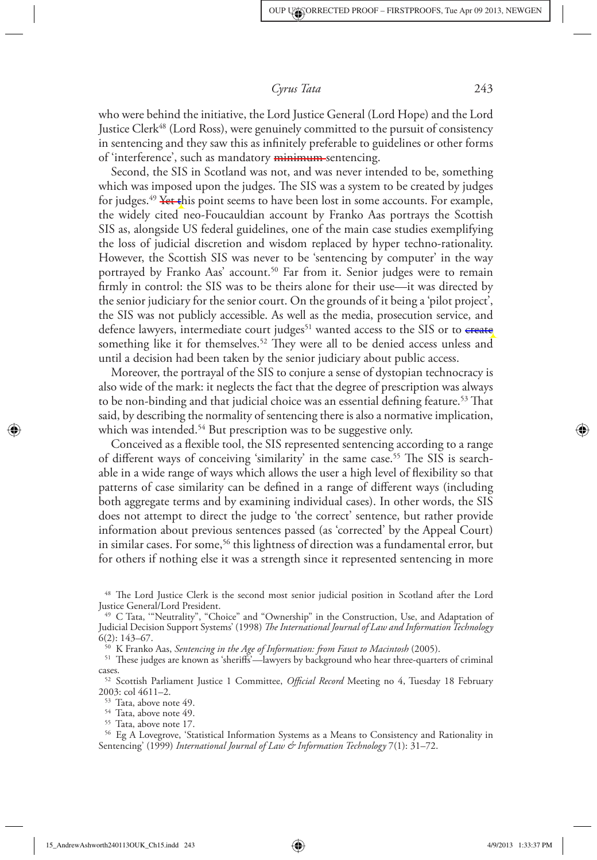who were behind the initiative, the Lord Justice General (Lord Hope) and the Lord Justice Clerk<sup>48</sup> (Lord Ross), were genuinely committed to the pursuit of consistency in sentencing and they saw this as infinitely preferable to guidelines or other forms of 'interference', such as mandatory minimum sentencing.

 Second, the SIS in Scotland was not, and was never intended to be, something which was imposed upon the judges. The SIS was a system to be created by judges for judges.<sup>49</sup> Yet this point seems to have been lost in some accounts. For example, the widely cited neo-Foucauldian account by Franko Aas portrays the Scottish SIS as, alongside US federal guidelines, one of the main case studies exemplifying the loss of judicial discretion and wisdom replaced by hyper techno-rationality. However, the Scottish SIS was never to be 'sentencing by computer' in the way portrayed by Franko Aas' account.<sup>50</sup> Far from it. Senior judges were to remain firmly in control: the SIS was to be theirs alone for their use—it was directed by the senior judiciary for the senior court. On the grounds of it being a 'pilot project', the SIS was not publicly accessible. As well as the media, prosecution service, and defence lawyers, intermediate court judges<sup>51</sup> wanted access to the SIS or to create something like it for themselves.<sup>52</sup> They were all to be denied access unless and until a decision had been taken by the senior judiciary about public access.

 Moreover, the portrayal of the SIS to conjure a sense of dystopian technocracy is also wide of the mark: it neglects the fact that the degree of prescription was always to be non-binding and that judicial choice was an essential defining feature.<sup>53</sup> That said, by describing the normality of sentencing there is also a normative implication, which was intended.<sup>54</sup> But prescription was to be suggestive only.

Conceived as a flexible tool, the SIS represented sentencing according to a range of different ways of conceiving 'similarity' in the same case.<sup>55</sup> The SIS is searchable in a wide range of ways which allows the user a high level of flexibility so that patterns of case similarity can be defined in a range of different ways (including both aggregate terms and by examining individual cases). In other words, the SIS does not attempt to direct the judge to 'the correct' sentence, but rather provide information about previous sentences passed (as 'corrected' by the Appeal Court) in similar cases. For some,<sup>56</sup> this lightness of direction was a fundamental error, but for others if nothing else it was a strength since it represented sentencing in more

<sup>50</sup> K Franko Aas, *Sentencing in the Age of Information: from Faust to Macintosh* (2005).<br><sup>51</sup> These judges are known as 'sheriffs'—lawyers by background who hear three-quarters of criminal cases.

<sup>52</sup> Scottish Parliament Justice 1 Committee, *Official Record* Meeting no 4, Tuesday 18 February 2003: col 4611–2.

53 Tata, above note 49.

54 Tata, above note 49.

55 Tata, above note 17.

56 Eg A Lovegrove, 'Statistical Information Systems as a Means to Consistency and Rationality in Sentencing' (1999) *International Journal of Law & Information Technology* 7(1): 31–72.

<sup>&</sup>lt;sup>48</sup> The Lord Justice Clerk is the second most senior judicial position in Scotland after the Lord Justice General/Lord President.

<sup>&</sup>lt;sup>49</sup> C Tata, "'Neutrality", "Choice" and "Ownership" in the Construction, Use, and Adaptation of Judicial Decision Support Systems' (1998) *The International Journal of Law and Information Technology*  $6(2): 143-67.$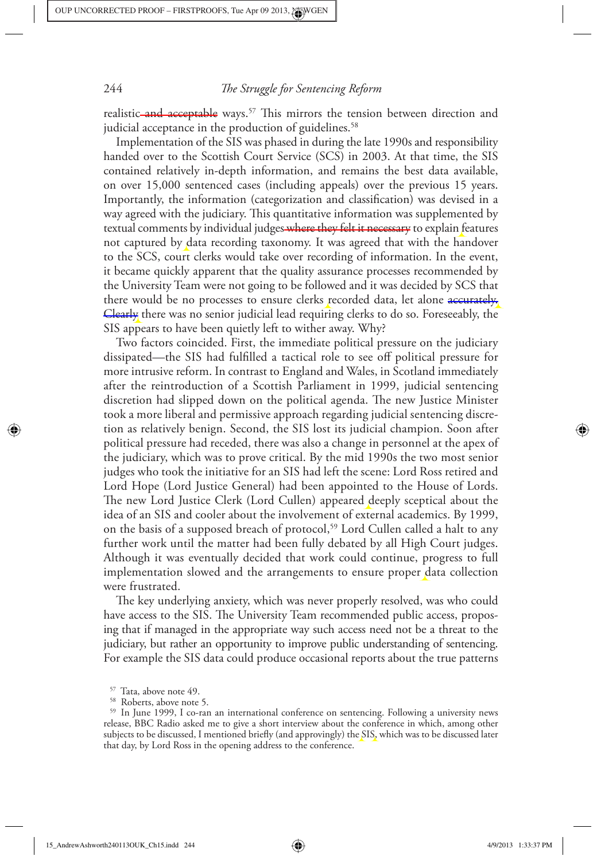realistic-and acceptable ways.<sup>57</sup> This mirrors the tension between direction and judicial acceptance in the production of guidelines.<sup>58</sup>

 Implementation of the SIS was phased in during the late 1990s and responsibility handed over to the Scottish Court Service (SCS) in 2003. At that time, the SIS contained relatively in-depth information, and remains the best data available, on over 15,000 sentenced cases (including appeals) over the previous 15 years. Importantly, the information (categorization and classification) was devised in a way agreed with the judiciary. This quantitative information was supplemented by textual comments by individual judges where they felt it necessary to explain features not captured by data recording taxonomy. It was agreed that with the handover to the SCS, court clerks would take over recording of information. In the event, it became quickly apparent that the quality assurance processes recommended by the University Team were not going to be followed and it was decided by SCS that there would be no processes to ensure clerks recorded data, let alone accurately. Clearly there was no senior judicial lead requiring clerks to do so. Foreseeably, the SIS appears to have been quietly left to wither away. Why?

 Two factors coincided. First, the immediate political pressure on the judiciary dissipated—the SIS had fulfilled a tactical role to see off political pressure for more intrusive reform. In contrast to England and Wales, in Scotland immediately after the reintroduction of a Scottish Parliament in 1999, judicial sentencing discretion had slipped down on the political agenda. The new Justice Minister took a more liberal and permissive approach regarding judicial sentencing discretion as relatively benign. Second, the SIS lost its judicial champion. Soon after political pressure had receded, there was also a change in personnel at the apex of the judiciary, which was to prove critical. By the mid 1990s the two most senior judges who took the initiative for an SIS had left the scene: Lord Ross retired and Lord Hope (Lord Justice General) had been appointed to the House of Lords. The new Lord Justice Clerk (Lord Cullen) appeared deeply sceptical about the idea of an SIS and cooler about the involvement of external academics. By 1999, on the basis of a supposed breach of protocol,<sup>59</sup> Lord Cullen called a halt to any further work until the matter had been fully debated by all High Court judges. Although it was eventually decided that work could continue, progress to full implementation slowed and the arrangements to ensure proper data collection were frustrated.

The key underlying anxiety, which was never properly resolved, was who could have access to the SIS. The University Team recommended public access, proposing that if managed in the appropriate way such access need not be a threat to the judiciary, but rather an opportunity to improve public understanding of sentencing. For example the SIS data could produce occasional reports about the true patterns

 $15_\text{AndrewAshworth240113OUK_\text{Ch}15.indd 244$   $4/9/2013$   $1:33:37$  PM

<sup>&</sup>lt;sup>57</sup> Tata, above note 49.

<sup>58</sup> Roberts, above note 5.

<sup>59</sup> In June 1999, I co-ran an international conference on sentencing. Following a university news release, BBC Radio asked me to give a short interview about the conference in which, among other subjects to be discussed, I mentioned briefly (and approvingly) the SIS, which was to be discussed later that day, by Lord Ross in the opening address to the conference.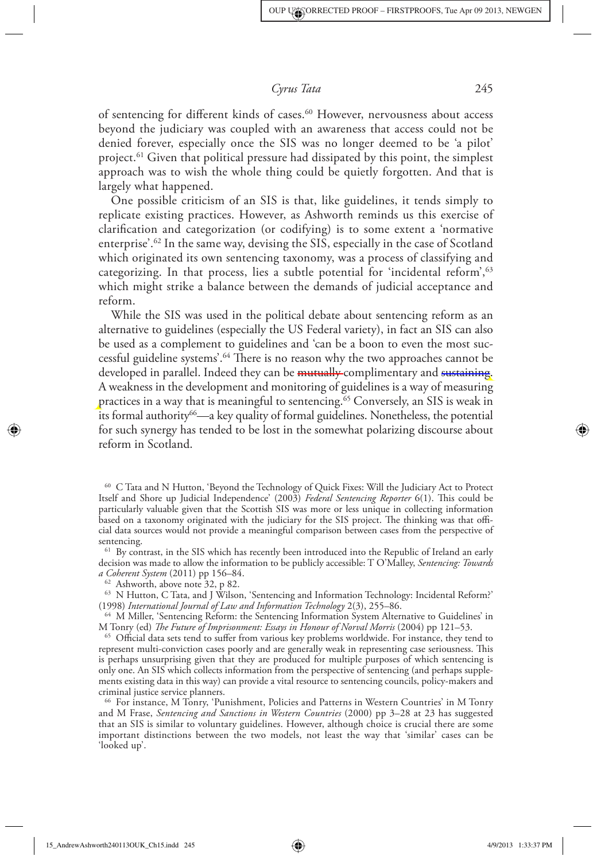of sentencing for different kinds of cases.<sup>60</sup> However, nervousness about access beyond the judiciary was coupled with an awareness that access could not be denied forever, especially once the SIS was no longer deemed to be 'a pilot' project. 61 Given that political pressure had dissipated by this point, the simplest approach was to wish the whole thing could be quietly forgotten. And that is largely what happened.

 One possible criticism of an SIS is that, like guidelines, it tends simply to replicate existing practices. However, as Ashworth reminds us this exercise of clarification and categorization (or codifying) is to some extent a 'normative enterprise'.<sup>62</sup> In the same way, devising the SIS, especially in the case of Scotland which originated its own sentencing taxonomy, was a process of classifying and categorizing. In that process, lies a subtle potential for 'incidental reform', 63 which might strike a balance between the demands of judicial acceptance and reform.

 While the SIS was used in the political debate about sentencing reform as an alternative to guidelines (especially the US Federal variety), in fact an SIS can also be used as a complement to guidelines and 'can be a boon to even the most successful guideline systems'.<sup>64</sup> There is no reason why the two approaches cannot be developed in parallel. Indeed they can be mutually complimentary and sustaining. A weakness in the development and monitoring of guidelines is a way of measuring practices in a way that is meaningful to sentencing. 65 Conversely, an SIS is weak in its formal authority<sup>66</sup>—a key quality of formal guidelines. Nonetheless, the potential for such synergy has tended to be lost in the somewhat polarizing discourse about reform in Scotland.

60 C Tata and N Hutton, 'Beyond the Technology of Quick Fixes: Will the Judiciary Act to Protect Itself and Shore up Judicial Independence' (2003) *Federal Sentencing Reporter* 6(1). This could be particularly valuable given that the Scottish SIS was more or less unique in collecting information based on a taxonomy originated with the judiciary for the SIS project. The thinking was that official data sources would not provide a meaningful comparison between cases from the perspective of sentencing.

<sup>61</sup> By contrast, in the SIS which has recently been introduced into the Republic of Ireland an early decision was made to allow the information to be publicly accessible: T O'Malley, *Sentencing: Towards a Coherent System* (2011) pp 156–84. 62 Ashworth, above note 32, p 82.

63 N Hutton, C Tata, and J Wilson, 'Sentencing and Information Technology: Incidental Reform?' (1998) *International Journal of Law and Information Technology* 2(3), 255–86.<br><sup>64</sup> M Miller, 'Sentencing Reform: the Sentencing Information System Alternative to Guidelines' in

M Tonry (ed) *The Future of Imprisonment: Essays in Honour of Norval Morris* (2004) pp 121–53.<br><sup>65</sup> Official data sets tend to suffer from various key problems worldwide. For instance, they tend to represent multi-conviction cases poorly and are generally weak in representing case seriousness. This is perhaps unsurprising given that they are produced for multiple purposes of which sentencing is only one. An SIS which collects information from the perspective of sentencing (and perhaps supplements existing data in this way) can provide a vital resource to sentencing councils, policy-makers and criminal justice service planners.

66 For instance, M Tonry, 'Punishment, Policies and Patterns in Western Countries' in M Tonry and M Frase, *Sentencing and Sanctions in Western Countries* (2000) pp 3–28 at 23 has suggested that an SIS is similar to voluntary guidelines. However, although choice is crucial there are some important distinctions between the two models, not least the way that 'similar' cases can be 'looked up'.

15\_AndrewAshworth240113OUK\_Ch15.indd 245 5\_AndrewAshworth240113OUK\_Ch15.indd 245 4/9/2013 1:33:37 PM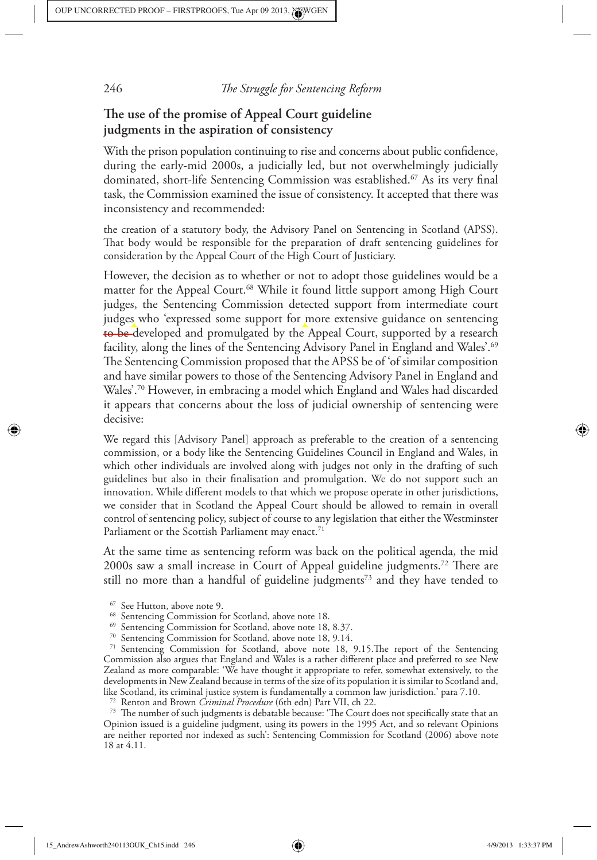# The use of the promise of Appeal Court guideline **judgments in the aspiration of consistency**

With the prison population continuing to rise and concerns about public confidence, during the early-mid 2000s, a judicially led, but not overwhelmingly judicially dominated, short-life Sentencing Commission was established.<sup>67</sup> As its very final task, the Commission examined the issue of consistency. It accepted that there was inconsistency and recommended:

 the creation of a statutory body, the Advisory Panel on Sentencing in Scotland (APSS). That body would be responsible for the preparation of draft sentencing guidelines for consideration by the Appeal Court of the High Court of Justiciary.

 However, the decision as to whether or not to adopt those guidelines would be a matter for the Appeal Court.<sup>68</sup> While it found little support among High Court judges, the Sentencing Commission detected support from intermediate court judges who 'expressed some support for more extensive guidance on sentencing to be developed and promulgated by the Appeal Court, supported by a research facility, along the lines of the Sentencing Advisory Panel in England and Wales'. 69 The Sentencing Commission proposed that the APSS be of 'of similar composition and have similar powers to those of the Sentencing Advisory Panel in England and Wales'.<sup>70</sup> However, in embracing a model which England and Wales had discarded it appears that concerns about the loss of judicial ownership of sentencing were decisive:

 We regard this [Advisory Panel] approach as preferable to the creation of a sentencing commission, or a body like the Sentencing Guidelines Council in England and Wales, in which other individuals are involved along with judges not only in the drafting of such guidelines but also in their finalisation and promulgation. We do not support such an innovation. While different models to that which we propose operate in other jurisdictions, we consider that in Scotland the Appeal Court should be allowed to remain in overall control of sentencing policy, subject of course to any legislation that either the Westminster Parliament or the Scottish Parliament may enact.<sup>71</sup>

 At the same time as sentencing reform was back on the political agenda, the mid 2000s saw a small increase in Court of Appeal guideline judgments.<sup>72</sup> There are still no more than a handful of guideline judgments<sup>73</sup> and they have tended to

- 68 Sentencing Commission for Scotland, above note 18.
- 69 Sentencing Commission for Scotland, above note 18, 8.37.
- 70 Sentencing Commission for Scotland, above note 18, 9.14.

 $71$  Sentencing Commission for Scotland, above note 18, 9.15. The report of the Sentencing Commission also argues that England and Wales is a rather different place and preferred to see New Zealand as more comparable: 'We have thought it appropriate to refer, somewhat extensively, to the developments in New Zealand because in terms of the size of its population it is similar to Scotland and, like Scotland, its criminal justice system is fundamentally a common law jurisdiction.' para 7.10.<br><sup>72</sup> Renton and Brown *Criminal Procedure* (6th edn) Part VII, ch 22.

<sup>73</sup> The number of such judgments is debatable because: 'The Court does not specifically state that an Opinion issued is a guideline judgment, using its powers in the 1995 Act, and so relevant Opinions are neither reported nor indexed as such': Sentencing Commission for Scotland (2006) above note 18 at 4.11.

15\_AndrewAshworth240113OUK\_Ch15.indd 246 5\_AndrewAshworth240113OUK\_Ch15.indd 246 5\_AndrewAshworth240113OUK\_Ch15.indd 4/9/2013 1:33:37 PM

<sup>67</sup> See Hutton, above note 9.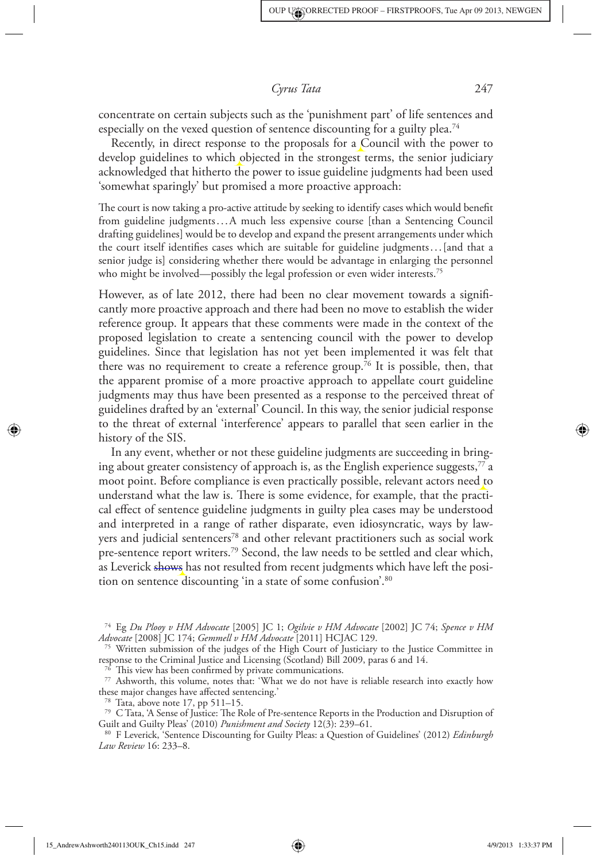concentrate on certain subjects such as the 'punishment part' of life sentences and especially on the vexed question of sentence discounting for a guilty plea.<sup>74</sup>

 Recently, in direct response to the proposals for a Council with the power to develop guidelines to which objected in the strongest terms, the senior judiciary acknowledged that hitherto the power to issue guideline judgments had been used 'somewhat sparingly' but promised a more proactive approach:

The court is now taking a pro-active attitude by seeking to identify cases which would benefit from guideline judgments . . . A much less expensive course [than a Sentencing Council drafting guidelines] would be to develop and expand the present arrangements under which the court itself identifies cases which are suitable for guideline judgments... [and that a senior judge is] considering whether there would be advantage in enlarging the personnel who might be involved—possibly the legal profession or even wider interests.<sup>75</sup>

However, as of late 2012, there had been no clear movement towards a significantly more proactive approach and there had been no move to establish the wider reference group. It appears that these comments were made in the context of the proposed legislation to create a sentencing council with the power to develop guidelines. Since that legislation has not yet been implemented it was felt that there was no requirement to create a reference group.<sup>76</sup> It is possible, then, that the apparent promise of a more proactive approach to appellate court guideline judgments may thus have been presented as a response to the perceived threat of guidelines drafted by an 'external' Council. In this way, the senior judicial response to the threat of external 'interference' appears to parallel that seen earlier in the history of the SIS.

 In any event, whether or not these guideline judgments are succeeding in bringing about greater consistency of approach is, as the English experience suggests, $77$  a moot point. Before compliance is even practically possible, relevant actors need to understand what the law is. There is some evidence, for example, that the practical effect of sentence guideline judgments in guilty plea cases may be understood and interpreted in a range of rather disparate, even idiosyncratic, ways by lawvers and judicial sentencers<sup>78</sup> and other relevant practitioners such as social work pre-sentence report writers.<sup>79</sup> Second, the law needs to be settled and clear which, as Leverick shows has not resulted from recent judgments which have left the position on sentence discounting 'in a state of some confusion'. 80

<sup>75</sup> Written submission of the judges of the High Court of Justiciary to the Justice Committee in response to the Criminal Justice and Licensing (Scotland) Bill 2009, paras 6 and 14.

<sup>76</sup> This view has been confirmed by private communications.<br><sup>77</sup> Ashworth, this volume, notes that: 'What we do not have is reliable research into exactly how these major changes have affected sentencing.<sup>78</sup> Tata, above note 17, pp 511–15.

<sup>79</sup> C Tata, 'A Sense of Justice: The Role of Pre-sentence Reports in the Production and Disruption of Guilt and Guilty Pleas' (2010) *Punishment and Society* 12(3): 239–61.

Guilt and Guilty Pleas' (2010) *Punishment and Society* 12 (3): 239–61 . 80 F Leverick, 'Sentence Discounting for Guilty Pleas: a Question of Guidelines' (2012) *Edinburgh*  Law Review 16: 233-8.

15\_AndrewAshworth240113OUK\_Ch15.indd 247 5\_AndrewAshworth240113OUK\_Ch15.indd 247

<sup>74</sup> Eg *Du Plooy v HM Advocate* [2005] JC 1; *Ogilvie v HM Advocate* [2002] JC 74; *Spence v HM*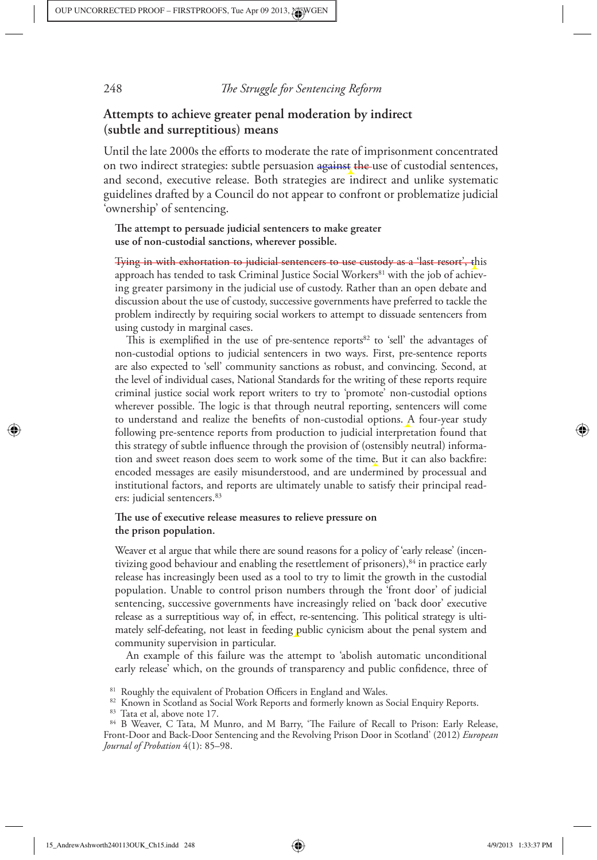# **Attempts to achieve greater penal moderation by indirect (subtle and surreptitious) means**

Until the late 2000s the efforts to moderate the rate of imprisonment concentrated on two indirect strategies: subtle persuasion against the use of custodial sentences, and second, executive release. Both strategies are indirect and unlike systematic guidelines drafted by a Council do not appear to confront or problematize judicial 'ownership' of sentencing.

The attempt to persuade judicial sentencers to make greater **use of non-custodial sanctions, wherever possible.** 

 Tying in with exhortation to judicial sentencers to use custody as a 'last resort', this approach has tended to task Criminal Justice Social Workers<sup>81</sup> with the job of achieving greater parsimony in the judicial use of custody. Rather than an open debate and discussion about the use of custody, successive governments have preferred to tackle the problem indirectly by requiring social workers to attempt to dissuade sentencers from using custody in marginal cases.

This is exemplified in the use of pre-sentence reports<sup>82</sup> to 'sell' the advantages of non-custodial options to judicial sentencers in two ways. First, pre-sentence reports are also expected to 'sell' community sanctions as robust, and convincing. Second, at the level of individual cases, National Standards for the writing of these reports require criminal justice social work report writers to try to 'promote' non-custodial options wherever possible. The logic is that through neutral reporting, sentencers will come to understand and realize the benefits of non-custodial options. A four-year study following pre-sentence reports from production to judicial interpretation found that this strategy of subtle influence through the provision of (ostensibly neutral) information and sweet reason does seem to work some of the time. But it can also backfire: encoded messages are easily misunderstood, and are undermined by processual and institutional factors, and reports are ultimately unable to satisfy their principal readers: judicial sentencers. 83

## The use of executive release measures to relieve pressure on **the prison population.**

 Weaver et al argue that while there are sound reasons for a policy of 'early release' (incentivizing good behaviour and enabling the resettlement of prisoners),<sup>84</sup> in practice early release has increasingly been used as a tool to try to limit the growth in the custodial population. Unable to control prison numbers through the 'front door' of judicial sentencing, successive governments have increasingly relied on 'back door' executive release as a surreptitious way of, in effect, re-sentencing. This political strategy is ultimately self-defeating, not least in feeding public cynicism about the penal system and community supervision in particular.

 An example of this failure was the attempt to 'abolish automatic unconditional early release' which, on the grounds of transparency and public confidence, three of

 $15_\text{AndrewAshworth240113OUK_\text{A}15\text{...}$  and  $248$   $4/9/2013$  1:33:37 PM  $4/9/2013$  1:33:37 PM

 $81$  Roughly the equivalent of Probation Officers in England and Wales.<br> $82$  Known in Scotland as Social Work Reports and formerly known as Social Enquiry Reports.

<sup>83</sup> Tata et al, above note 17.

<sup>84</sup> B Weaver, C Tata, M Munro, and M Barry, 'The Failure of Recall to Prison: Early Release, Front-Door and Back-Door Sentencing and the Revolving Prison Door in Scotland' (2012) *European*  Journal of Probation 4(1): 85-98.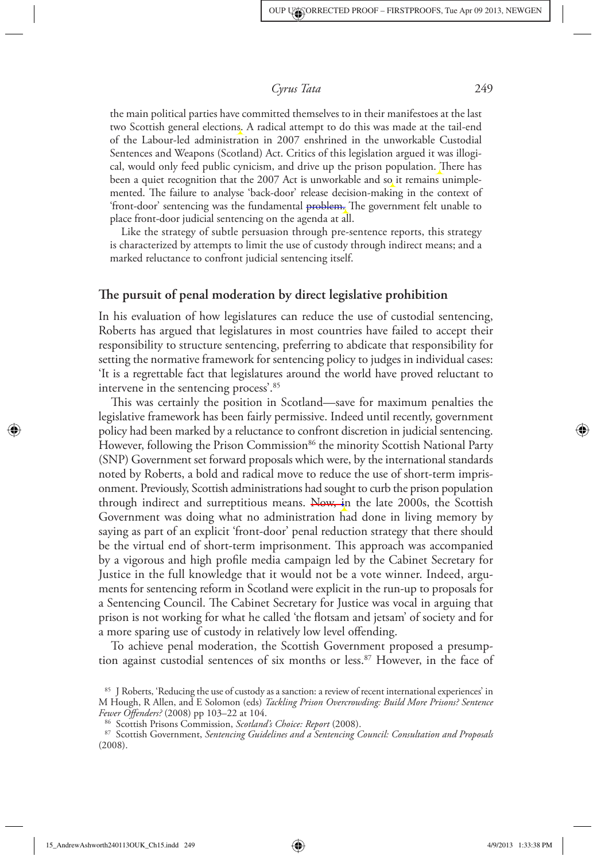the main political parties have committed themselves to in their manifestoes at the last two Scottish general elections. A radical attempt to do this was made at the tail-end of the Labour-led administration in 2007 enshrined in the unworkable Custodial Sentences and Weapons (Scotland) Act. Critics of this legislation argued it was illogical, would only feed public cynicism, and drive up the prison population. There has been a quiet recognition that the 2007 Act is unworkable and so it remains unimplemented. The failure to analyse 'back-door' release decision-making in the context of 'front-door' sentencing was the fundamental **problem.** The government felt unable to place front-door judicial sentencing on the agenda at all.

 Like the strategy of subtle persuasion through pre-sentence reports, this strategy is characterized by attempts to limit the use of custody through indirect means; and a marked reluctance to confront judicial sentencing itself.

## The pursuit of penal moderation by direct legislative prohibition

 In his evaluation of how legislatures can reduce the use of custodial sentencing, Roberts has argued that legislatures in most countries have failed to accept their responsibility to structure sentencing, preferring to abdicate that responsibility for setting the normative framework for sentencing policy to judges in individual cases: 'It is a regrettable fact that legislatures around the world have proved reluctant to intervene in the sentencing process'. 85

This was certainly the position in Scotland—save for maximum penalties the legislative framework has been fairly permissive. Indeed until recently, government policy had been marked by a reluctance to confront discretion in judicial sentencing. However, following the Prison Commission<sup>86</sup> the minority Scottish National Party (SNP) Government set forward proposals which were, by the international standards noted by Roberts, a bold and radical move to reduce the use of short-term imprisonment. Previously, Scottish administrations had sought to curb the prison population through indirect and surreptitious means. Now, in the late 2000s, the Scottish Government was doing what no administration had done in living memory by saying as part of an explicit 'front-door' penal reduction strategy that there should be the virtual end of short-term imprisonment. This approach was accompanied by a vigorous and high profile media campaign led by the Cabinet Secretary for Justice in the full knowledge that it would not be a vote winner. Indeed, arguments for sentencing reform in Scotland were explicit in the run-up to proposals for a Sentencing Council. The Cabinet Secretary for Justice was vocal in arguing that prison is not working for what he called 'the flotsam and jetsam' of society and for a more sparing use of custody in relatively low level offending.

 To achieve penal moderation, the Scottish Government proposed a presumption against custodial sentences of six months or less. 87 However, in the face of

 $15_\text{AndrewAshworth240113OUK_\text{A}15\text{.indd}$  249  $49/2013$  1:33:38 PM  $4/9/2013$  1:33:38 PM

<sup>85</sup> J Roberts, 'Reducing the use of custody as a sanction: a review of recent international experiences' in M Hough, R Allen, and E Solomon (eds) *Tackling Prison Overcrowding: Build More Prisons? Sentence*  Fewer Offenders? (2008) pp 103–22 at 104.<br><sup>86</sup> Scottish Prisons Commission, *Scotland's Choice: Report* (2008).<br><sup>87</sup> Scottish Government, *Sentencing Guidelines and a Sentencing Council: Consultation and Proposals* 

<sup>(2008).</sup>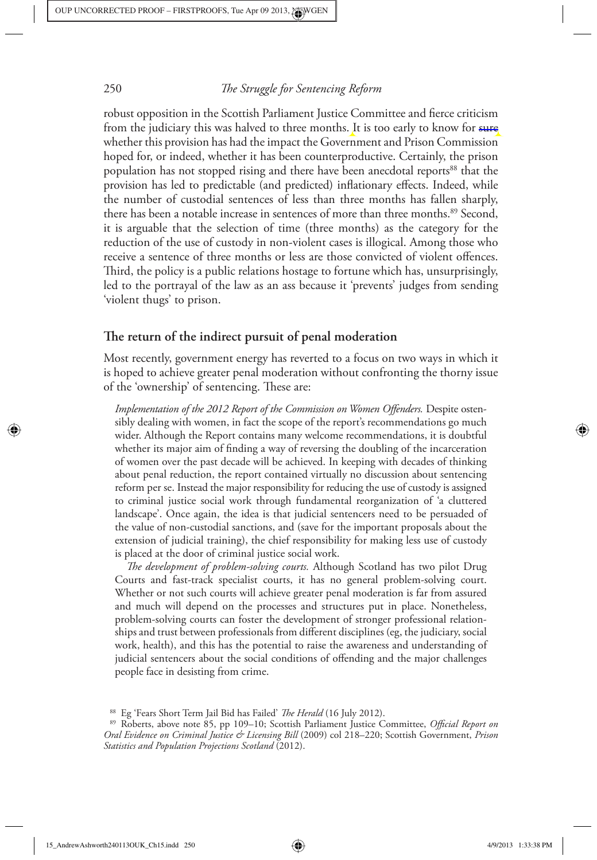robust opposition in the Scottish Parliament Justice Committee and fierce criticism from the judiciary this was halved to three months. It is too early to know for sure whether this provision has had the impact the Government and Prison Commission hoped for, or indeed, whether it has been counterproductive. Certainly, the prison population has not stopped rising and there have been anecdotal reports<sup>88</sup> that the provision has led to predictable (and predicted) inflationary effects. Indeed, while the number of custodial sentences of less than three months has fallen sharply, there has been a notable increase in sentences of more than three months. 89 Second, it is arguable that the selection of time (three months) as the category for the reduction of the use of custody in non-violent cases is illogical. Among those who receive a sentence of three months or less are those convicted of violent offences. Third, the policy is a public relations hostage to fortune which has, unsurprisingly, led to the portrayal of the law as an ass because it 'prevents' judges from sending 'violent thugs' to prison.

#### The return of the indirect pursuit of penal moderation

 Most recently, government energy has reverted to a focus on two ways in which it is hoped to achieve greater penal moderation without confronting the thorny issue of the 'ownership' of sentencing. These are:

*Implementation of the 2012 Report of the Commission on Women Offenders. Despite osten*sibly dealing with women, in fact the scope of the report's recommendations go much wider. Although the Report contains many welcome recommendations, it is doubtful whether its major aim of finding a way of reversing the doubling of the incarceration of women over the past decade will be achieved. In keeping with decades of thinking about penal reduction, the report contained virtually no discussion about sentencing reform per se. Instead the major responsibility for reducing the use of custody is assigned to criminal justice social work through fundamental reorganization of 'a cluttered landscape'. Once again, the idea is that judicial sentencers need to be persuaded of the value of non-custodial sanctions, and (save for the important proposals about the extension of judicial training), the chief responsibility for making less use of custody is placed at the door of criminal justice social work.

*The development of problem-solving courts*. Although Scotland has two pilot Drug Courts and fast-track specialist courts, it has no general problem-solving court. Whether or not such courts will achieve greater penal moderation is far from assured and much will depend on the processes and structures put in place. Nonetheless, problem-solving courts can foster the development of stronger professional relationships and trust between professionals from different disciplines (eg, the judiciary, social work, health), and this has the potential to raise the awareness and understanding of judicial sentencers about the social conditions of offending and the major challenges people face in desisting from crime.

15\_AndrewAshworth240113OUK\_Ch15.indd 250 5\_AndrewAshworth240113OUK\_Ch15.indd 4/9/2013 1:33:38 PM /9/2013

<sup>&</sup>lt;sup>88</sup> Eg 'Fears Short Term Jail Bid has Failed' *The Herald* (16 July 2012).<br><sup>89</sup> Roberts, above note 85, pp 109–10; Scottish Parliament Justice Committee, *Official Report on Oral Evidence on Criminal Justice & Licensing Bill* (2009) col 218–220; Scottish Government, *Prison Statistics and Population Projections Scotland* (2012).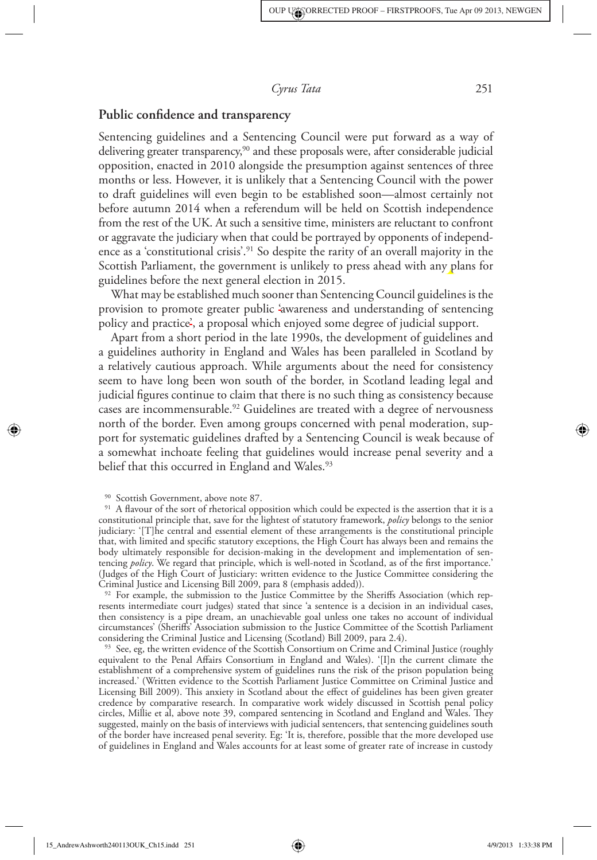Sentencing guidelines and a Sentencing Council were put forward as a way of delivering greater transparency,<sup>90</sup> and these proposals were, after considerable judicial opposition, enacted in 2010 alongside the presumption against sentences of three months or less. However, it is unlikely that a Sentencing Council with the power to draft guidelines will even begin to be established soon—almost certainly not before autumn 2014 when a referendum will be held on Scottish independence from the rest of the UK. At such a sensitive time, ministers are reluctant to confront or aggravate the judiciary when that could be portrayed by opponents of independence as a 'constitutional crisis'.<sup>91</sup> So despite the rarity of an overall majority in the Scottish Parliament, the government is unlikely to press ahead with any plans for guidelines before the next general election in 2015.

 What may be established much sooner than Sentencing Council guidelines is the provision to promote greater public 'awareness and understanding of sentencing policy and practice', a proposal which enjoyed some degree of judicial support.

 Apart from a short period in the late 1990s, the development of guidelines and a guidelines authority in England and Wales has been paralleled in Scotland by a relatively cautious approach. While arguments about the need for consistency seem to have long been won south of the border, in Scotland leading legal and judicial figures continue to claim that there is no such thing as consistency because cases are incommensurable. 92 Guidelines are treated with a degree of nervousness north of the border. Even among groups concerned with penal moderation, support for systematic guidelines drafted by a Sentencing Council is weak because of a somewhat inchoate feeling that guidelines would increase penal severity and a belief that this occurred in England and Wales.<sup>93</sup>

<sup>90</sup> Scottish Government, above note 87.

<sup>91</sup> A flavour of the sort of rhetorical opposition which could be expected is the assertion that it is a constitutional principle that, save for the lightest of statutory framework, *policy* belongs to the senior judiciary: '[T]he central and essential element of these arrangements is the constitutional principle that, with limited and specific statutory exceptions, the High Court has always been and remains the body ultimately responsible for decision-making in the development and implementation of sentencing *policy*. We regard that principle, which is well-noted in Scotland, as of the first importance.' (Judges of the High Court of Justiciary: written evidence to the Justice Committee considering the Criminal Justice and Licensing Bill 2009, para 8 (emphasis added)).

<sup>92</sup> For example, the submission to the Justice Committee by the Sheriffs Association (which represents intermediate court judges) stated that since 'a sentence is a decision in an individual cases, then consistency is a pipe dream, an unachievable goal unless one takes no account of individual circumstances' (Sheriffs' Association submission to the Justice Committee of the Scottish Parliament considering the Criminal Justice and Licensing (Scotland) Bill 2009, para 2.4).

<sup>93</sup> See, eg, the written evidence of the Scottish Consortium on Crime and Criminal Justice (roughly equivalent to the Penal Affairs Consortium in England and Wales). '[I]n the current climate the establishment of a comprehensive system of guidelines runs the risk of the prison population being increased.' (Written evidence to the Scottish Parliament Justice Committee on Criminal Justice and Licensing Bill 2009). This anxiety in Scotland about the effect of guidelines has been given greater credence by comparative research. In comparative work widely discussed in Scottish penal policy circles, Millie et al, above note 39, compared sentencing in Scotland and England and Wales. They suggested, mainly on the basis of interviews with judicial sentencers, that sentencing guidelines south of the border have increased penal severity. Eg: 'It is, therefore, possible that the more developed use of guidelines in England and Wales accounts for at least some of greater rate of increase in custody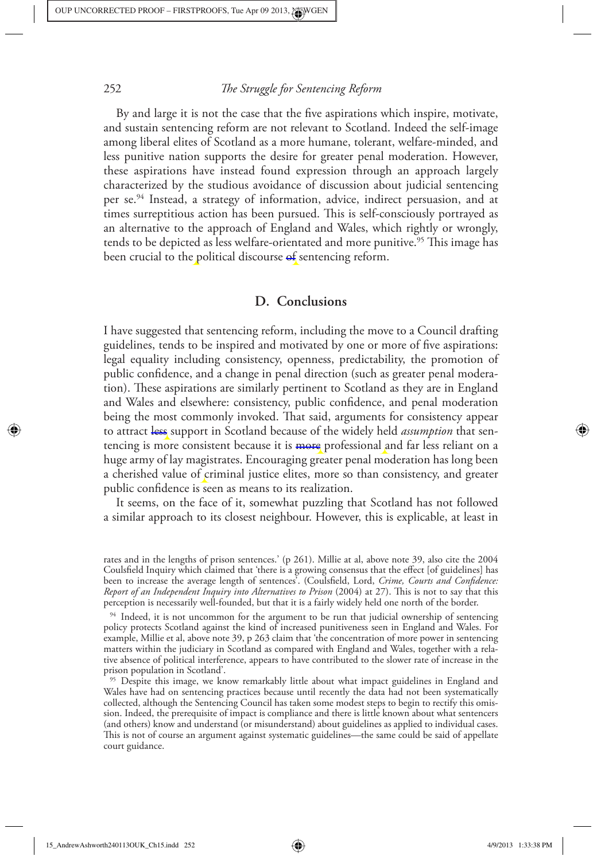By and large it is not the case that the five aspirations which inspire, motivate, and sustain sentencing reform are not relevant to Scotland. Indeed the self-image among liberal elites of Scotland as a more humane, tolerant, welfare-minded, and less punitive nation supports the desire for greater penal moderation. However, these aspirations have instead found expression through an approach largely characterized by the studious avoidance of discussion about judicial sentencing per se. 94 Instead, a strategy of information, advice, indirect persuasion, and at times surreptitious action has been pursued. This is self-consciously portrayed as an alternative to the approach of England and Wales, which rightly or wrongly, tends to be depicted as less welfare-orientated and more punitive.<sup>95</sup> This image has been crucial to the political discourse of sentencing reform.

## **D. Conclusions**

 I have suggested that sentencing reform, including the move to a Council drafting guidelines, tends to be inspired and motivated by one or more of five aspirations: legal equality including consistency, openness, predictability, the promotion of public confidence, and a change in penal direction (such as greater penal moderation). These aspirations are similarly pertinent to Scotland as they are in England and Wales and elsewhere: consistency, public confidence, and penal moderation being the most commonly invoked. That said, arguments for consistency appear to attract less support in Scotland because of the widely held *assumption* that sentencing is more consistent because it is more professional and far less reliant on a huge army of lay magistrates. Encouraging greater penal moderation has long been a cherished value of criminal justice elites, more so than consistency, and greater public confidence is seen as means to its realization.

 It seems, on the face of it, somewhat puzzling that Scotland has not followed a similar approach to its closest neighbour. However, this is explicable, at least in

rates and in the lengths of prison sentences.' (p 261). Millie at al, above note 39, also cite the 2004 Coulsfield Inquiry which claimed that 'there is a growing consensus that the effect [of guidelines] has been to increase the average length of sentences'. (Coulsfield, Lord, *Crime, Courts and Confidence: Report of an Independent Inquiry into Alternatives to Prison* (2004) at 27). This is not to say that this perception is necessarily well-founded, but that it is a fairly widely held one north of the border.

<sup>&</sup>lt;sup>94</sup> Indeed, it is not uncommon for the argument to be run that judicial ownership of sentencing policy protects Scotland against the kind of increased punitiveness seen in England and Wales. For example, Millie et al, above note 39, p 263 claim that 'the concentration of more power in sentencing matters within the judiciary in Scotland as compared with England and Wales, together with a relative absence of political interference, appears to have contributed to the slower rate of increase in the prison population in Scotland'.

<sup>&</sup>lt;sup>95</sup> Despite this image, we know remarkably little about what impact guidelines in England and Wales have had on sentencing practices because until recently the data had not been systematically collected, although the Sentencing Council has taken some modest steps to begin to rectify this omission. Indeed, the prerequisite of impact is compliance and there is little known about what sentencers (and others) know and understand (or misunderstand) about guidelines as applied to individual cases. This is not of course an argument against systematic guidelines—the same could be said of appellate court guidance.